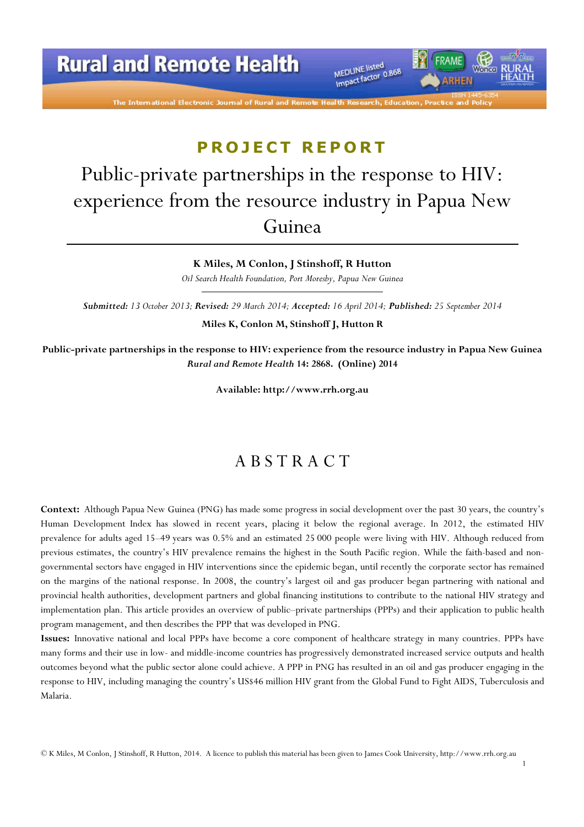# **Rural and Remote Health**

The International Electronic Journal of Rural and Remote

MEDLINE listed MEDLINE listed<br>Impact factor 0.868 FRAME

*RHEN* 

# **PROJECT REPORT**

# Public-private partnerships in the response to HIV: experience from the resource industry in Papua New Guinea

K Miles, M Conlon, J Stinshoff, R Hutton

Oil Search Health Foundation, Port Moresby, Papua New Guinea

Submitted: 13 October 2013; Revised: 29 March 2014; Accepted: 16 April 2014; Published: 25 September 2014

Miles K, Conlon M, Stinshoff J, Hutton R

Public-private partnerships in the response to HIV: experience from the resource industry in Papua New Guinea Rural and Remote Health 14: 2868. (Online) 2014

Available: http://www.rrh.org.au

#### A B S T R A C T

Context: Although Papua New Guinea (PNG) has made some progress in social development over the past 30 years, the country's Human Development Index has slowed in recent years, placing it below the regional average. In 2012, the estimated HIV prevalence for adults aged 15–49 years was 0.5% and an estimated 25 000 people were living with HIV. Although reduced from previous estimates, the country's HIV prevalence remains the highest in the South Pacific region. While the faith-based and nongovernmental sectors have engaged in HIV interventions since the epidemic began, until recently the corporate sector has remained on the margins of the national response. In 2008, the country's largest oil and gas producer began partnering with national and provincial health authorities, development partners and global financing institutions to contribute to the national HIV strategy and implementation plan. This article provides an overview of public–private partnerships (PPPs) and their application to public health program management, and then describes the PPP that was developed in PNG.

Issues: Innovative national and local PPPs have become a core component of healthcare strategy in many countries. PPPs have many forms and their use in low- and middle-income countries has progressively demonstrated increased service outputs and health outcomes beyond what the public sector alone could achieve. A PPP in PNG has resulted in an oil and gas producer engaging in the response to HIV, including managing the country's US\$46 million HIV grant from the Global Fund to Fight AIDS, Tuberculosis and Malaria.

© K Miles, M Conlon, J Stinshoff, R Hutton, 2014. A licence to publish this material has been given to James Cook University, http://www.rrh.org.au

1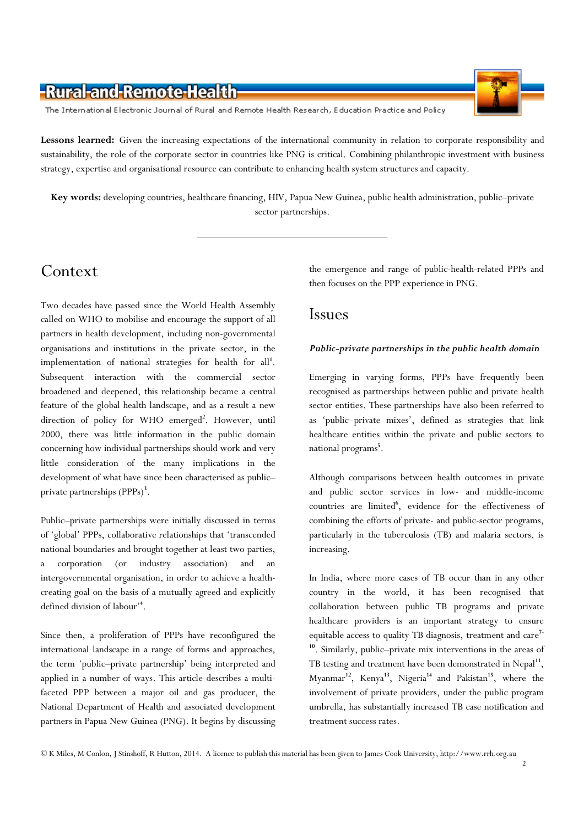The International Electronic Journal of Rural and Remote Health Research, Education Practice and Policy

Lessons learned: Given the increasing expectations of the international community in relation to corporate responsibility and sustainability, the role of the corporate sector in countries like PNG is critical. Combining philanthropic investment with business strategy, expertise and organisational resource can contribute to enhancing health system structures and capacity.

Key words: developing countries, healthcare financing, HIV, Papua New Guinea, public health administration, public–private sector partnerships.

# Context

Two decades have passed since the World Health Assembly called on WHO to mobilise and encourage the support of all partners in health development, including non-governmental organisations and institutions in the private sector, in the implementation of national strategies for health for  $all<sup>1</sup>$ . Subsequent interaction with the commercial sector broadened and deepened, this relationship became a central feature of the global health landscape, and as a result a new direction of policy for WHO emerged<sup>2</sup>. However, until 2000, there was little information in the public domain concerning how individual partnerships should work and very little consideration of the many implications in the development of what have since been characterised as public– private partnerships (PPPs)<sup>3</sup>.

Public–private partnerships were initially discussed in terms of 'global' PPPs, collaborative relationships that 'transcended national boundaries and brought together at least two parties, a corporation (or industry association) and an intergovernmental organisation, in order to achieve a healthcreating goal on the basis of a mutually agreed and explicitly defined division of labour'<sup>4</sup> .

Since then, a proliferation of PPPs have reconfigured the international landscape in a range of forms and approaches, the term 'public–private partnership' being interpreted and applied in a number of ways. This article describes a multifaceted PPP between a major oil and gas producer, the National Department of Health and associated development partners in Papua New Guinea (PNG). It begins by discussing the emergence and range of public-health-related PPPs and then focuses on the PPP experience in PNG.

#### Issues

#### Public-private partnerships in the public health domain

Emerging in varying forms, PPPs have frequently been recognised as partnerships between public and private health sector entities. These partnerships have also been referred to as 'public–private mixes', defined as strategies that link healthcare entities within the private and public sectors to national programs<sup>5</sup>.

Although comparisons between health outcomes in private and public sector services in low- and middle-income countries are limited<sup>6</sup>, evidence for the effectiveness of combining the efforts of private- and public-sector programs, particularly in the tuberculosis (TB) and malaria sectors, is increasing.

In India, where more cases of TB occur than in any other country in the world, it has been recognised that collaboration between public TB programs and private healthcare providers is an important strategy to ensure equitable access to quality TB diagnosis, treatment and  $care<sup>7-</sup>$ <sup>10</sup>. Similarly, public–private mix interventions in the areas of TB testing and treatment have been demonstrated in Nepal<sup>11</sup>, Myanmar<sup>12</sup>, Kenya<sup>13</sup>, Nigeria<sup>14</sup> and Pakistan<sup>15</sup>, where the involvement of private providers, under the public program umbrella, has substantially increased TB case notification and treatment success rates.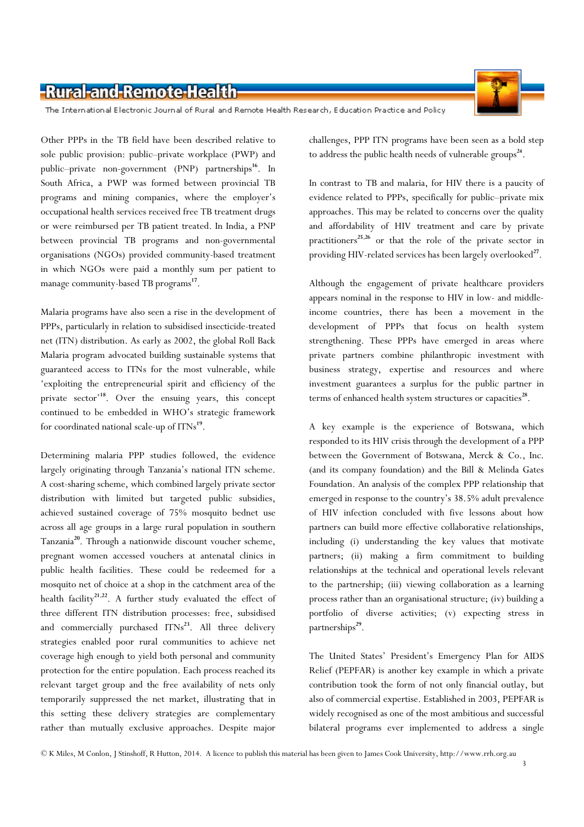

The International Electronic Journal of Rural and Remote Health Research, Education Practice and Policy

Other PPPs in the TB field have been described relative to sole public provision: public–private workplace (PWP) and public–private non-government (PNP) partnerships<sup>16</sup>. In South Africa, a PWP was formed between provincial TB programs and mining companies, where the employer's occupational health services received free TB treatment drugs or were reimbursed per TB patient treated. In India, a PNP between provincial TB programs and non-governmental organisations (NGOs) provided community-based treatment in which NGOs were paid a monthly sum per patient to manage community-based TB programs<sup>17</sup>.

Malaria programs have also seen a rise in the development of PPPs, particularly in relation to subsidised insecticide-treated net (ITN) distribution. As early as 2002, the global Roll Back Malaria program advocated building sustainable systems that guaranteed access to ITNs for the most vulnerable, while 'exploiting the entrepreneurial spirit and efficiency of the private sector'<sup>18</sup>. Over the ensuing years, this concept continued to be embedded in WHO's strategic framework for coordinated national scale-up of ITNs<sup>19</sup>.

Determining malaria PPP studies followed, the evidence largely originating through Tanzania's national ITN scheme. A cost-sharing scheme, which combined largely private sector distribution with limited but targeted public subsidies, achieved sustained coverage of 75% mosquito bednet use across all age groups in a large rural population in southern Tanzania<sup>20</sup>. Through a nationwide discount voucher scheme, pregnant women accessed vouchers at antenatal clinics in public health facilities. These could be redeemed for a mosquito net of choice at a shop in the catchment area of the health facility<sup>21,22</sup>. A further study evaluated the effect of three different ITN distribution processes: free, subsidised and commercially purchased ITNs<sup>23</sup>. All three delivery strategies enabled poor rural communities to achieve net coverage high enough to yield both personal and community protection for the entire population. Each process reached its relevant target group and the free availability of nets only temporarily suppressed the net market, illustrating that in this setting these delivery strategies are complementary rather than mutually exclusive approaches. Despite major

challenges, PPP ITN programs have been seen as a bold step to address the public health needs of vulnerable groups<sup>24</sup>.

In contrast to TB and malaria, for HIV there is a paucity of evidence related to PPPs, specifically for public–private mix approaches. This may be related to concerns over the quality and affordability of HIV treatment and care by private practitioners<sup>25,26</sup> or that the role of the private sector in providing HIV-related services has been largely overlooked<sup>27</sup>.

Although the engagement of private healthcare providers appears nominal in the response to HIV in low- and middleincome countries, there has been a movement in the development of PPPs that focus on health system strengthening. These PPPs have emerged in areas where private partners combine philanthropic investment with business strategy, expertise and resources and where investment guarantees a surplus for the public partner in terms of enhanced health system structures or capacities<sup>28</sup>.

A key example is the experience of Botswana, which responded to its HIV crisis through the development of a PPP between the Government of Botswana, Merck & Co., Inc. (and its company foundation) and the Bill & Melinda Gates Foundation. An analysis of the complex PPP relationship that emerged in response to the country's 38.5% adult prevalence of HIV infection concluded with five lessons about how partners can build more effective collaborative relationships, including (i) understanding the key values that motivate partners; (ii) making a firm commitment to building relationships at the technical and operational levels relevant to the partnership; (iii) viewing collaboration as a learning process rather than an organisational structure; (iv) building a portfolio of diverse activities; (v) expecting stress in partnerships<sup>29</sup>.

The United States' President's Emergency Plan for AIDS Relief (PEPFAR) is another key example in which a private contribution took the form of not only financial outlay, but also of commercial expertise. Established in 2003, PEPFAR is widely recognised as one of the most ambitious and successful bilateral programs ever implemented to address a single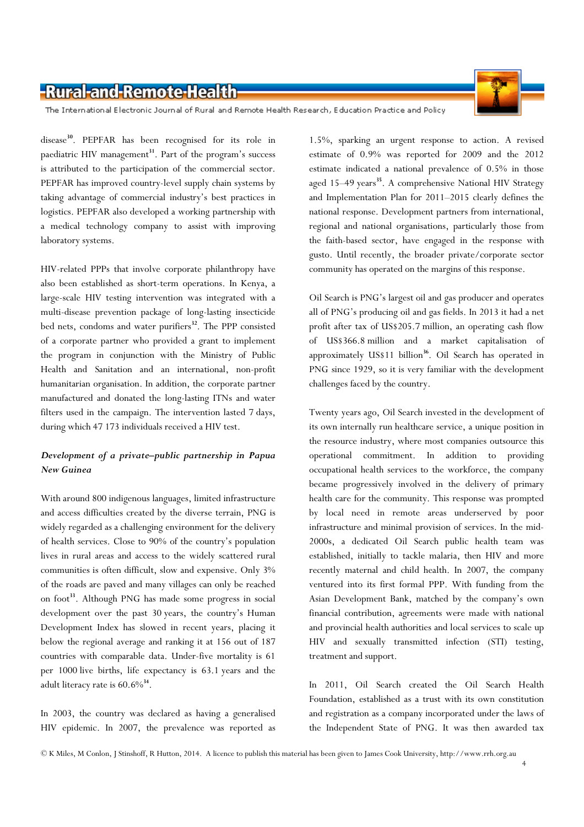The International Electronic Journal of Rural and Remote Health Research, Education Practice and Policy

disease<sup>30</sup>. PEPFAR has been recognised for its role in paediatric HIV management<sup>31</sup>. Part of the program's success is attributed to the participation of the commercial sector. PEPFAR has improved country-level supply chain systems by taking advantage of commercial industry's best practices in logistics. PEPFAR also developed a working partnership with a medical technology company to assist with improving laboratory systems.

HIV-related PPPs that involve corporate philanthropy have also been established as short-term operations. In Kenya, a large-scale HIV testing intervention was integrated with a multi-disease prevention package of long-lasting insecticide bed nets, condoms and water purifiers<sup>32</sup>. The PPP consisted of a corporate partner who provided a grant to implement the program in conjunction with the Ministry of Public Health and Sanitation and an international, non-profit humanitarian organisation. In addition, the corporate partner manufactured and donated the long-lasting ITNs and water filters used in the campaign. The intervention lasted 7 days, during which 47 173 individuals received a HIV test.

#### Development of a private–public partnership in Papua New Guinea

With around 800 indigenous languages, limited infrastructure and access difficulties created by the diverse terrain, PNG is widely regarded as a challenging environment for the delivery of health services. Close to 90% of the country's population lives in rural areas and access to the widely scattered rural communities is often difficult, slow and expensive. Only 3% of the roads are paved and many villages can only be reached on foot<sup>33</sup>. Although PNG has made some progress in social development over the past 30 years, the country's Human Development Index has slowed in recent years, placing it below the regional average and ranking it at 156 out of 187 countries with comparable data. Under-five mortality is 61 per 1000 live births, life expectancy is 63.1 years and the adult literacy rate is  $60.6\%$ <sup>34</sup>.

In 2003, the country was declared as having a generalised HIV epidemic. In 2007, the prevalence was reported as

1.5%, sparking an urgent response to action. A revised estimate of 0.9% was reported for 2009 and the 2012 estimate indicated a national prevalence of 0.5% in those aged 15–49 years<sup>35</sup>. A comprehensive National HIV Strategy and Implementation Plan for 2011–2015 clearly defines the national response. Development partners from international, regional and national organisations, particularly those from the faith-based sector, have engaged in the response with gusto. Until recently, the broader private/corporate sector community has operated on the margins of this response.

Oil Search is PNG's largest oil and gas producer and operates all of PNG's producing oil and gas fields. In 2013 it had a net profit after tax of US\$205.7 million, an operating cash flow of US\$366.8 million and a market capitalisation of approximately US\$11 billion<sup>36</sup>. Oil Search has operated in PNG since 1929, so it is very familiar with the development challenges faced by the country.

Twenty years ago, Oil Search invested in the development of its own internally run healthcare service, a unique position in the resource industry, where most companies outsource this operational commitment. In addition to providing occupational health services to the workforce, the company became progressively involved in the delivery of primary health care for the community. This response was prompted by local need in remote areas underserved by poor infrastructure and minimal provision of services. In the mid-2000s, a dedicated Oil Search public health team was established, initially to tackle malaria, then HIV and more recently maternal and child health. In 2007, the company ventured into its first formal PPP. With funding from the Asian Development Bank, matched by the company's own financial contribution, agreements were made with national and provincial health authorities and local services to scale up HIV and sexually transmitted infection (STI) testing, treatment and support.

In 2011, Oil Search created the Oil Search Health Foundation, established as a trust with its own constitution and registration as a company incorporated under the laws of the Independent State of PNG. It was then awarded tax

4

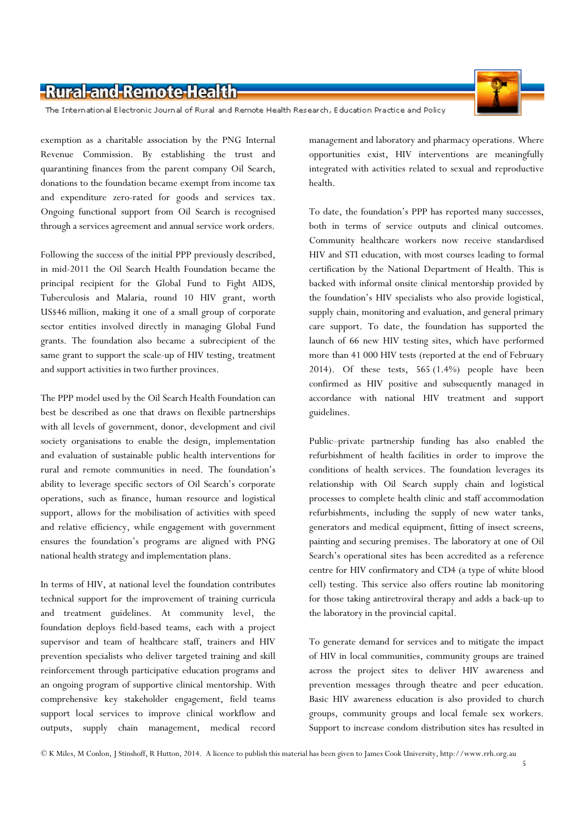

The International Electronic Journal of Rural and Remote Health Research, Education Practice and Policy

exemption as a charitable association by the PNG Internal Revenue Commission. By establishing the trust and quarantining finances from the parent company Oil Search, donations to the foundation became exempt from income tax and expenditure zero-rated for goods and services tax. Ongoing functional support from Oil Search is recognised through a services agreement and annual service work orders.

Following the success of the initial PPP previously described, in mid-2011 the Oil Search Health Foundation became the principal recipient for the Global Fund to Fight AIDS, Tuberculosis and Malaria, round 10 HIV grant, worth US\$46 million, making it one of a small group of corporate sector entities involved directly in managing Global Fund grants. The foundation also became a subrecipient of the same grant to support the scale-up of HIV testing, treatment and support activities in two further provinces.

The PPP model used by the Oil Search Health Foundation can best be described as one that draws on flexible partnerships with all levels of government, donor, development and civil society organisations to enable the design, implementation and evaluation of sustainable public health interventions for rural and remote communities in need. The foundation's ability to leverage specific sectors of Oil Search's corporate operations, such as finance, human resource and logistical support, allows for the mobilisation of activities with speed and relative efficiency, while engagement with government ensures the foundation's programs are aligned with PNG national health strategy and implementation plans.

In terms of HIV, at national level the foundation contributes technical support for the improvement of training curricula and treatment guidelines. At community level, the foundation deploys field-based teams, each with a project supervisor and team of healthcare staff, trainers and HIV prevention specialists who deliver targeted training and skill reinforcement through participative education programs and an ongoing program of supportive clinical mentorship. With comprehensive key stakeholder engagement, field teams support local services to improve clinical workflow and outputs, supply chain management, medical record

management and laboratory and pharmacy operations. Where opportunities exist, HIV interventions are meaningfully integrated with activities related to sexual and reproductive health.

To date, the foundation's PPP has reported many successes, both in terms of service outputs and clinical outcomes. Community healthcare workers now receive standardised HIV and STI education, with most courses leading to formal certification by the National Department of Health. This is backed with informal onsite clinical mentorship provided by the foundation's HIV specialists who also provide logistical, supply chain, monitoring and evaluation, and general primary care support. To date, the foundation has supported the launch of 66 new HIV testing sites, which have performed more than 41 000 HIV tests (reported at the end of February 2014). Of these tests, 565 (1.4%) people have been confirmed as HIV positive and subsequently managed in accordance with national HIV treatment and support guidelines.

Public–private partnership funding has also enabled the refurbishment of health facilities in order to improve the conditions of health services. The foundation leverages its relationship with Oil Search supply chain and logistical processes to complete health clinic and staff accommodation refurbishments, including the supply of new water tanks, generators and medical equipment, fitting of insect screens, painting and securing premises. The laboratory at one of Oil Search's operational sites has been accredited as a reference centre for HIV confirmatory and CD4 (a type of white blood cell) testing. This service also offers routine lab monitoring for those taking antiretroviral therapy and adds a back-up to the laboratory in the provincial capital.

To generate demand for services and to mitigate the impact of HIV in local communities, community groups are trained across the project sites to deliver HIV awareness and prevention messages through theatre and peer education. Basic HIV awareness education is also provided to church groups, community groups and local female sex workers. Support to increase condom distribution sites has resulted in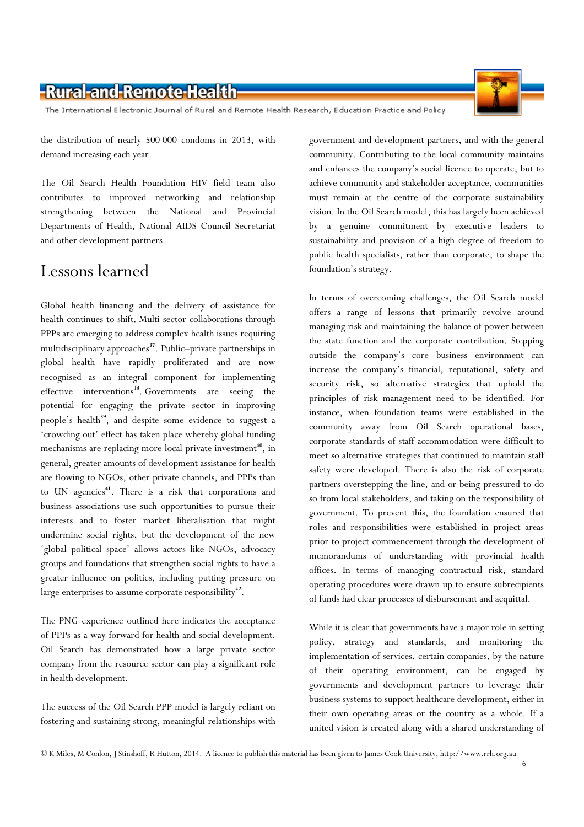The International Electronic Journal of Rural and Remote Health Research, Education Practice and Policy

the distribution of nearly 500 000 condoms in 2013, with demand increasing each year.

The Oil Search Health Foundation HIV field team also contributes to improved networking and relationship strengthening between the National and Provincial Departments of Health, National AIDS Council Secretariat and other development partners.

## Lessons learned

Global health financing and the delivery of assistance for health continues to shift. Multi-sector collaborations through PPPs are emerging to address complex health issues requiring multidisciplinary approaches<sup>37</sup>. Public–private partnerships in global health have rapidly proliferated and are now recognised as an integral component for implementing effective interventions<sup>38</sup>. Governments are seeing the potential for engaging the private sector in improving people's health<sup>39</sup>, and despite some evidence to suggest a 'crowding out' effect has taken place whereby global funding mechanisms are replacing more local private investment<sup>40</sup>, in general, greater amounts of development assistance for health are flowing to NGOs, other private channels, and PPPs than to UN agencies<sup>41</sup>. There is a risk that corporations and business associations use such opportunities to pursue their interests and to foster market liberalisation that might undermine social rights, but the development of the new 'global political space' allows actors like NGOs, advocacy groups and foundations that strengthen social rights to have a greater influence on politics, including putting pressure on large enterprises to assume corporate responsibility<sup>42</sup>.

The PNG experience outlined here indicates the acceptance of PPPs as a way forward for health and social development. Oil Search has demonstrated how a large private sector company from the resource sector can play a significant role in health development.

The success of the Oil Search PPP model is largely reliant on fostering and sustaining strong, meaningful relationships with

government and development partners, and with the general community. Contributing to the local community maintains and enhances the company's social licence to operate, but to achieve community and stakeholder acceptance, communities must remain at the centre of the corporate sustainability vision. In the Oil Search model, this has largely been achieved by a genuine commitment by executive leaders to sustainability and provision of a high degree of freedom to public health specialists, rather than corporate, to shape the foundation's strategy.

In terms of overcoming challenges, the Oil Search model offers a range of lessons that primarily revolve around managing risk and maintaining the balance of power between the state function and the corporate contribution. Stepping outside the company's core business environment can increase the company's financial, reputational, safety and security risk, so alternative strategies that uphold the principles of risk management need to be identified. For instance, when foundation teams were established in the community away from Oil Search operational bases, corporate standards of staff accommodation were difficult to meet so alternative strategies that continued to maintain staff safety were developed. There is also the risk of corporate partners overstepping the line, and or being pressured to do so from local stakeholders, and taking on the responsibility of government. To prevent this, the foundation ensured that roles and responsibilities were established in project areas prior to project commencement through the development of memorandums of understanding with provincial health offices. In terms of managing contractual risk, standard operating procedures were drawn up to ensure subrecipients of funds had clear processes of disbursement and acquittal.

While it is clear that governments have a major role in setting policy, strategy and standards, and monitoring the implementation of services, certain companies, by the nature of their operating environment, can be engaged by governments and development partners to leverage their business systems to support healthcare development, either in their own operating areas or the country as a whole. If a united vision is created along with a shared understanding of

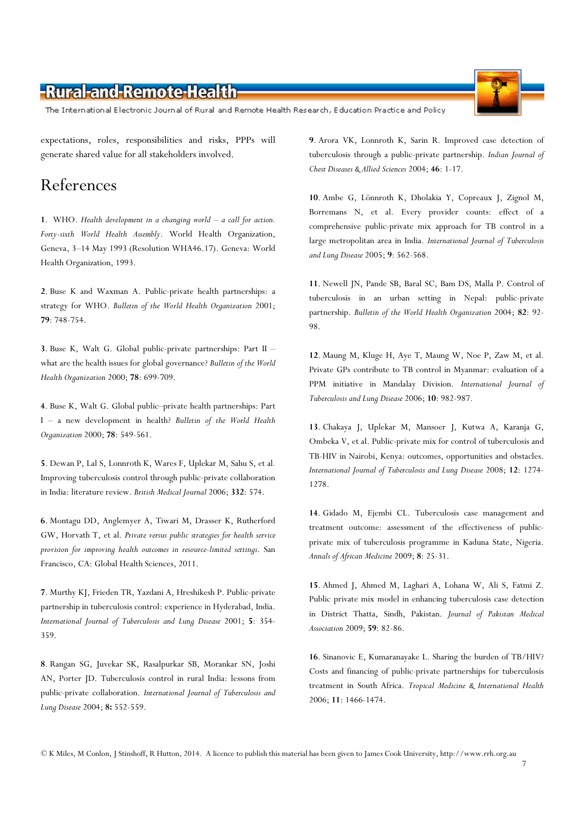The International Electronic Journal of Rural and Remote Health Research, Education Practice and Policy

expectations, roles, responsibilities and risks, PPPs will generate shared value for all stakeholders involved.

#### References

1. WHO. Health development in a changing world – a call for action. Forty-sixth World Health Assembly. World Health Organization, Geneva, 3–14 May 1993 (Resolution WHA46.17). Geneva: World Health Organization, 1993.

2. Buse K and Waxman A. Public-private health partnerships: a strategy for WHO. Bulletin of the World Health Organization 2001; 79: 748-754.

3. Buse K, Walt G. Global public-private partnerships: Part II – what are the health issues for global governance? Bulletin of the World Health Organization 2000; 78: 699-709.

4. Buse K, Walt G. Global public–private health partnerships: Part I – a new development in health? Bulletin of the World Health Organization 2000; 78: 549-561.

5. Dewan P, Lal S, Lonnroth K, Wares F, Uplekar M, Sahu S, et al. Improving tuberculosis control through public-private collaboration in India: literature review. British Medical Journal 2006; 332: 574.

6. Montagu DD, Anglemyer A, Tiwari M, Drasser K, Rutherford GW, Horvath T, et al. Private versus public strategies for health service provision for improving health outcomes in resource-limited settings. San Francisco, CA: Global Health Sciences, 2011.

7. Murthy KJ, Frieden TR, Yazdani A, Hreshikesh P. Public-private partnership in tuberculosis control: experience in Hyderabad, India. International Journal of Tuberculosis and Lung Disease 2001; 5: 354- 359.

8. Rangan SG, Juvekar SK, Rasalpurkar SB, Morankar SN, Joshi AN, Porter JD. Tuberculosis control in rural India: lessons from public-private collaboration. International Journal of Tuberculosis and Lung Disease 2004; 8: 552-559.

9. Arora VK, Lonnroth K, Sarin R. Improved case detection of tuberculosis through a public-private partnership. Indian Journal of Chest Diseases & Allied Sciences 2004; 46: 1-17.

10. Ambe G, Lönnroth K, Dholakia Y, Copreaux J, Zignol M, Borremans N, et al. Every provider counts: effect of a comprehensive public-private mix approach for TB control in a large metropolitan area in India. International Journal of Tuberculosis and Lung Disease 2005; 9: 562-568.

11. Newell JN, Pande SB, Baral SC, Bam DS, Malla P. Control of tuberculosis in an urban setting in Nepal: public-private partnership. Bulletin of the World Health Organization 2004; 82: 92- 98.

12. Maung M, Kluge H, Aye T, Maung W, Noe P, Zaw M, et al. Private GPs contribute to TB control in Myanmar: evaluation of a PPM initiative in Mandalay Division. International Journal of Tuberculosis and Lung Disease 2006; 10: 982-987.

13. Chakaya J, Uplekar M, Mansoer J, Kutwa A, Karanja G, Ombeka V, et al. Public-private mix for control of tuberculosis and TB-HIV in Nairobi, Kenya: outcomes, opportunities and obstacles. International Journal of Tuberculosis and Lung Disease 2008; 12: 1274- 1278.

14. Gidado M, Ejembi CL. Tuberculosis case management and treatment outcome: assessment of the effectiveness of publicprivate mix of tuberculosis programme in Kaduna State, Nigeria. Annals of African Medicine 2009; 8: 25-31.

15. Ahmed J, Ahmed M, Laghari A, Lohana W, Ali S, Fatmi Z. Public private mix model in enhancing tuberculosis case detection in District Thatta, Sindh, Pakistan. Journal of Pakistan Medical Association 2009; 59: 82-86.

16. Sinanovic E, Kumaranayake L. Sharing the burden of TB/HIV? Costs and financing of public-private partnerships for tuberculosis treatment in South Africa. Tropical Medicine & International Health 2006; 11: 1466-1474.

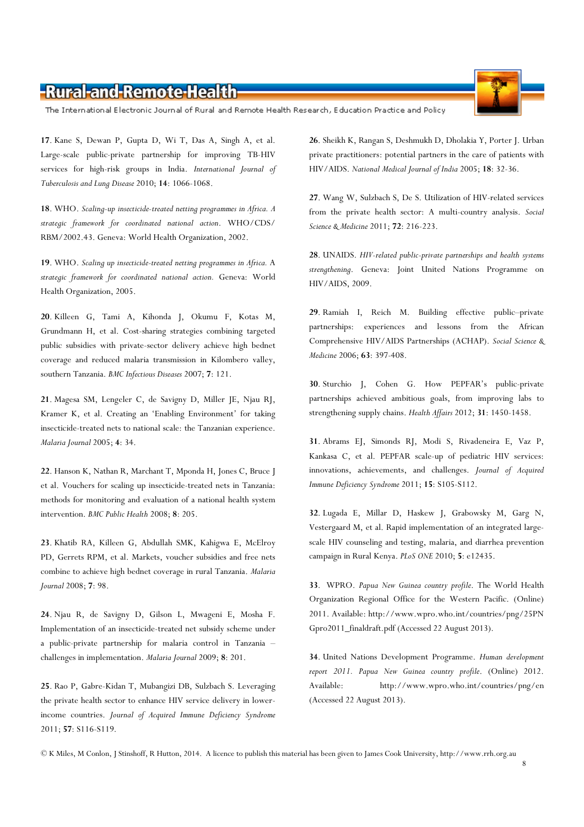The International Electronic Journal of Rural and Remote Health Research, Education Practice and Policy

17. Kane S, Dewan P, Gupta D, Wi T, Das A, Singh A, et al. Large-scale public-private partnership for improving TB-HIV services for high-risk groups in India. International Journal of Tuberculosis and Lung Disease 2010; 14: 1066-1068.

18. WHO. Scaling-up insecticide-treated netting programmes in Africa. A strategic framework for coordinated national action. WHO/CDS/ RBM/2002.43. Geneva: World Health Organization, 2002.

19. WHO. Scaling up insecticide-treated netting programmes in Africa. A strategic framework for coordinated national action. Geneva: World Health Organization, 2005.

20. Killeen G, Tami A, Kihonda J, Okumu F, Kotas M, Grundmann H, et al. Cost-sharing strategies combining targeted public subsidies with private-sector delivery achieve high bednet coverage and reduced malaria transmission in Kilombero valley, southern Tanzania. BMC Infectious Diseases 2007; 7: 121.

21. Magesa SM, Lengeler C, de Savigny D, Miller JE, Njau RJ, Kramer K, et al. Creating an 'Enabling Environment' for taking insecticide-treated nets to national scale: the Tanzanian experience. Malaria Journal 2005; 4: 34.

22. Hanson K, Nathan R, Marchant T, Mponda H, Jones C, Bruce J et al. Vouchers for scaling up insecticide-treated nets in Tanzania: methods for monitoring and evaluation of a national health system intervention. BMC Public Health 2008; 8: 205.

23. Khatib RA, Killeen G, Abdullah SMK, Kahigwa E, McElroy PD, Gerrets RPM, et al. Markets, voucher subsidies and free nets combine to achieve high bednet coverage in rural Tanzania. Malaria Journal 2008; 7: 98.

24. Njau R, de Savigny D, Gilson L, Mwageni E, Mosha F. Implementation of an insecticide-treated net subsidy scheme under a public-private partnership for malaria control in Tanzania – challenges in implementation. Malaria Journal 2009; 8: 201.

25. Rao P, Gabre-Kidan T, Mubangizi DB, Sulzbach S. Leveraging the private health sector to enhance HIV service delivery in lowerincome countries. Journal of Acquired Immune Deficiency Syndrome 2011; 57: S116-S119.

26. Sheikh K, Rangan S, Deshmukh D, Dholakia Y, Porter J. Urban private practitioners: potential partners in the care of patients with HIV/AIDS. National Medical Journal of India 2005; 18: 32-36.

27. Wang W, Sulzbach S, De S. Utilization of HIV-related services from the private health sector: A multi-country analysis. Social Science & Medicine 2011; **72**: 216-223.

28. UNAIDS. HIV-related public-private partnerships and health systems strengthening. Geneva: Joint United Nations Programme on HIV/AIDS, 2009.

29. Ramiah I, Reich M. Building effective public–private partnerships: experiences and lessons from the African Comprehensive HIV/AIDS Partnerships (ACHAP). Social Science & Medicine 2006; 63: 397-408.

30. Sturchio J, Cohen G. How PEPFAR's public-private partnerships achieved ambitious goals, from improving labs to strengthening supply chains. Health Affairs 2012; 31: 1450-1458.

31. Abrams EJ, Simonds RJ, Modi S, Rivadeneira E, Vaz P, Kankasa C, et al. PEPFAR scale-up of pediatric HIV services: innovations, achievements, and challenges. Journal of Acquired Immune Deficiency Syndrome 2011; 15: S105-S112.

32. Lugada E, Millar D, Haskew J, Grabowsky M, Garg N, Vestergaard M, et al. Rapid implementation of an integrated largescale HIV counseling and testing, malaria, and diarrhea prevention campaign in Rural Kenya. PLoS ONE 2010; 5: e12435.

33. WPRO. Papua New Guinea country profile. The World Health Organization Regional Office for the Western Pacific. (Online) 2011. Available: http://www.wpro.who.int/countries/png/25PN Gpro2011\_finaldraft.pdf (Accessed 22 August 2013).

34. United Nations Development Programme. Human development report 2011. Papua New Guinea country profile. (Online) 2012. Available: http://www.wpro.who.int/countries/png/en (Accessed 22 August 2013).